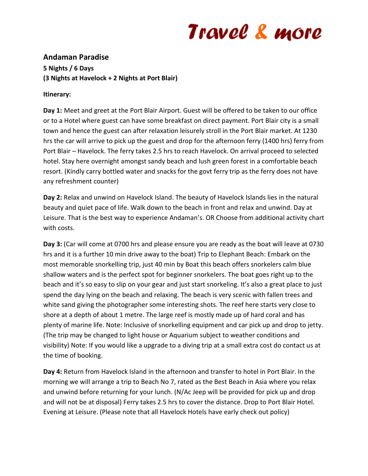## Travel & more

## **Andaman Paradise 5 Nights / 6 Days (3 Nights at Havelock + 2 Nights at Port Blair)**

## **Itinerary:**

**Day 1:** Meet and greet at the Port Blair Airport. Guest will be offered to be taken to our office or to a Hotel where guest can have some breakfast on direct payment. Port Blair city is a small town and hence the guest can after relaxation leisurely stroll in the Port Blair market. At 1230 hrs the car will arrive to pick up the guest and drop for the afternoon ferry (1400 hrs) ferry from Port Blair – Havelock. The ferry takes 2.5 hrs to reach Havelock. On arrival proceed to selected hotel. Stay here overnight amongst sandy beach and lush green forest in a comfortable beach resort. (Kindly carry bottled water and snacks for the govt ferry trip as the ferry does not have any refreshment counter)

**Day 2:** Relax and unwind on Havelock Island. The beauty of Havelock Islands lies in the natural beauty and quiet pace of life. Walk down to the beach in front and relax and unwind. Day at Leisure. That is the best way to experience Andaman's. OR Choose from additional activity chart with costs.

**Day 3:** (Car will come at 0700 hrs and please ensure you are ready as the boat will leave at 0730 hrs and it is a further 10 min drive away to the boat) Trip to Elephant Beach: Embark on the most memorable snorkelling trip, just 40 min by Boat this beach offers snorkelers calm blue shallow waters and is the perfect spot for beginner snorkelers. The boat goes right up to the beach and it's so easy to slip on your gear and just start snorkeling. It's also a great place to just spend the day lying on the beach and relaxing. The beach is very scenic with fallen trees and white sand giving the photographer some interesting shots. The reef here starts very close to shore at a depth of about 1 metre. The large reef is mostly made up of hard coral and has plenty of marine life. Note: Inclusive of snorkelling equipment and car pick up and drop to jetty. (The trip may be changed to light house or Aquarium subject to weather conditions and visibility) Note: If you would like a upgrade to a diving trip at a small extra cost do contact us at the time of booking.

**Day 4:** Return from Havelock Island in the afternoon and transfer to hotel in Port Blair. In the morning we will arrange a trip to Beach No 7, rated as the Best Beach in Asia where you relax and unwind before returning for your lunch. (N/Ac Jeep will be provided for pick up and drop and will not be at disposal) Ferry takes 2.5 hrs to cover the distance. Drop to Port Blair Hotel. Evening at Leisure. (Please note that all Havelock Hotels have early check out policy)